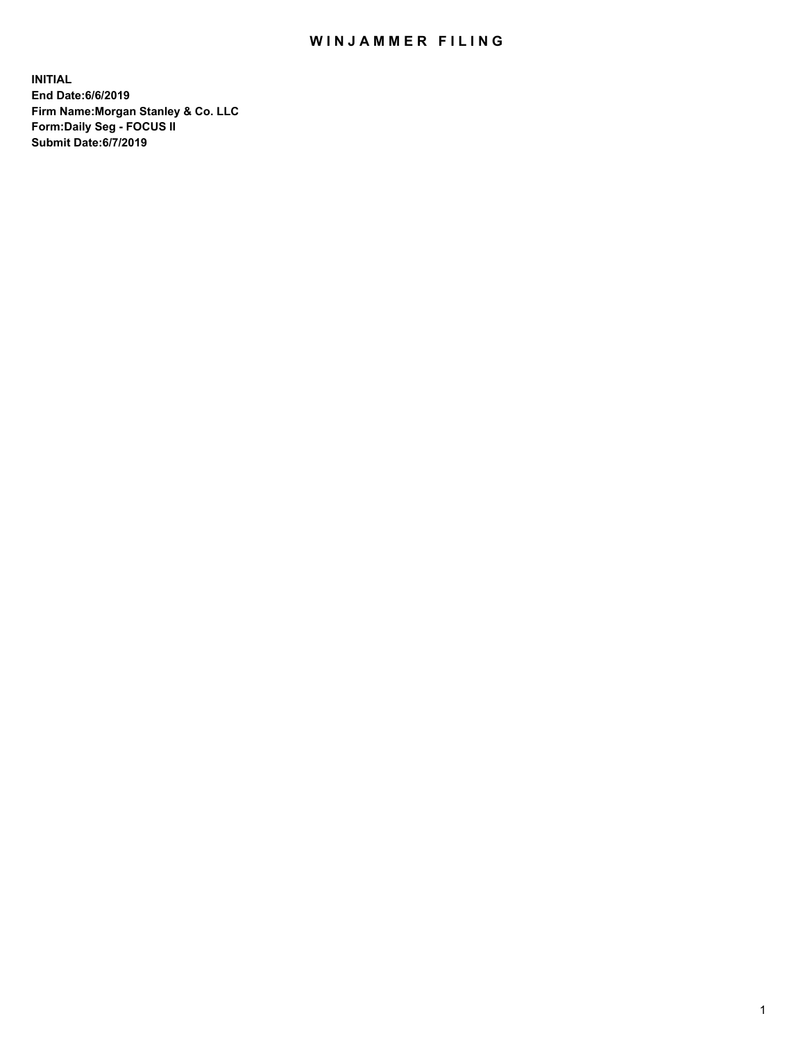## WIN JAMMER FILING

**INITIAL End Date:6/6/2019 Firm Name:Morgan Stanley & Co. LLC Form:Daily Seg - FOCUS II Submit Date:6/7/2019**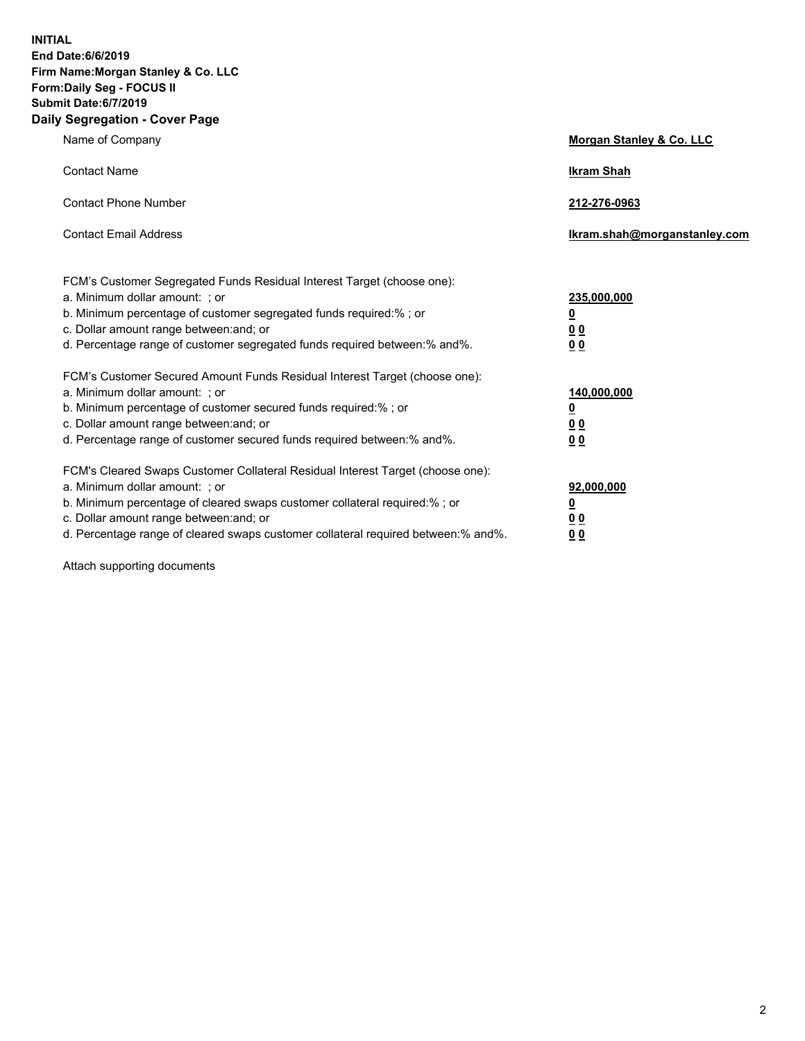**INITIAL End Date:6/6/2019 Firm Name:Morgan Stanley & Co. LLC Form:Daily Seg - FOCUS II Submit Date:6/7/2019 Daily Segregation - Cover Page**

| Name of Company                                                                                                                                                                                                                                                                                                                | Morgan Stanley & Co. LLC                        |
|--------------------------------------------------------------------------------------------------------------------------------------------------------------------------------------------------------------------------------------------------------------------------------------------------------------------------------|-------------------------------------------------|
| <b>Contact Name</b>                                                                                                                                                                                                                                                                                                            | <b>Ikram Shah</b>                               |
| <b>Contact Phone Number</b>                                                                                                                                                                                                                                                                                                    | 212-276-0963                                    |
| <b>Contact Email Address</b>                                                                                                                                                                                                                                                                                                   | Ikram.shah@morganstanley.com                    |
| FCM's Customer Segregated Funds Residual Interest Target (choose one):<br>a. Minimum dollar amount: ; or<br>b. Minimum percentage of customer segregated funds required:% ; or<br>c. Dollar amount range between: and; or<br>d. Percentage range of customer segregated funds required between:% and%.                         | 235,000,000<br><u>0</u><br><u>00</u><br>00      |
| FCM's Customer Secured Amount Funds Residual Interest Target (choose one):<br>a. Minimum dollar amount: ; or<br>b. Minimum percentage of customer secured funds required:% ; or<br>c. Dollar amount range between: and; or<br>d. Percentage range of customer secured funds required between: % and %.                         | 140,000,000<br><u>0</u><br>0 <sub>0</sub><br>00 |
| FCM's Cleared Swaps Customer Collateral Residual Interest Target (choose one):<br>a. Minimum dollar amount: ; or<br>b. Minimum percentage of cleared swaps customer collateral required:% ; or<br>c. Dollar amount range between: and; or<br>d. Percentage range of cleared swaps customer collateral required between:% and%. | 92,000,000<br><u>0</u><br>0 Q<br>0 <sub>0</sub> |

Attach supporting documents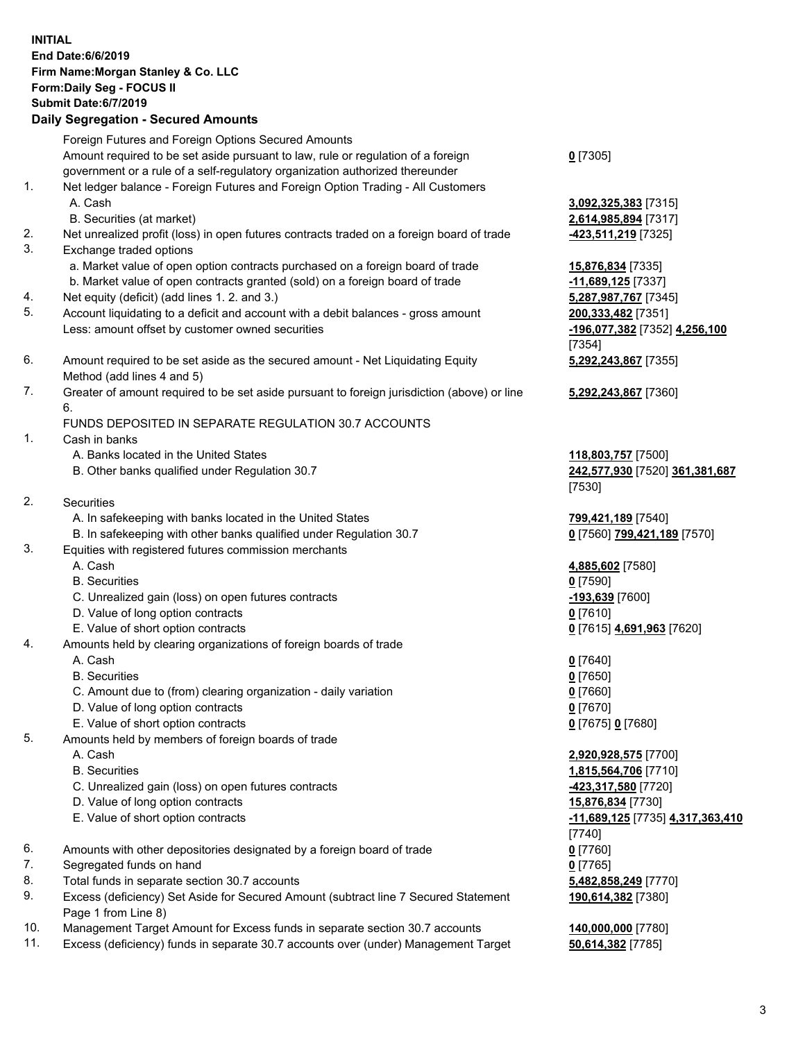| <b>INITIAL</b> | End Date: 6/6/2019<br>Firm Name: Morgan Stanley & Co. LLC<br>Form: Daily Seg - FOCUS II<br><b>Submit Date:6/7/2019</b><br><b>Daily Segregation - Secured Amounts</b> |                                                      |
|----------------|----------------------------------------------------------------------------------------------------------------------------------------------------------------------|------------------------------------------------------|
|                | Foreign Futures and Foreign Options Secured Amounts                                                                                                                  |                                                      |
|                | Amount required to be set aside pursuant to law, rule or regulation of a foreign                                                                                     | $0$ [7305]                                           |
| 1.             | government or a rule of a self-regulatory organization authorized thereunder<br>Net ledger balance - Foreign Futures and Foreign Option Trading - All Customers      |                                                      |
|                | A. Cash                                                                                                                                                              | 3,092,325,383 [7315]                                 |
|                | B. Securities (at market)                                                                                                                                            | 2,614,985,894 [7317]                                 |
| 2.<br>3.       | Net unrealized profit (loss) in open futures contracts traded on a foreign board of trade<br>Exchange traded options                                                 | <u>-423,511,219</u> [7325]                           |
|                | a. Market value of open option contracts purchased on a foreign board of trade<br>b. Market value of open contracts granted (sold) on a foreign board of trade       | 15,876,834 [7335]                                    |
| 4.             | Net equity (deficit) (add lines 1.2. and 3.)                                                                                                                         | -11,689,125 [7337]<br>5,287,987,767 [7345]           |
| 5.             | Account liquidating to a deficit and account with a debit balances - gross amount                                                                                    | 200,333,482 [7351]                                   |
|                | Less: amount offset by customer owned securities                                                                                                                     | -196,077,382 [7352] 4,256,100                        |
|                |                                                                                                                                                                      | [7354]                                               |
| 6.             | Amount required to be set aside as the secured amount - Net Liquidating Equity<br>Method (add lines 4 and 5)                                                         | 5,292,243,867 [7355]                                 |
| 7.             | Greater of amount required to be set aside pursuant to foreign jurisdiction (above) or line                                                                          | 5,292,243,867 [7360]                                 |
|                | 6.                                                                                                                                                                   |                                                      |
|                | FUNDS DEPOSITED IN SEPARATE REGULATION 30.7 ACCOUNTS                                                                                                                 |                                                      |
| 1.             | Cash in banks<br>A. Banks located in the United States                                                                                                               |                                                      |
|                | B. Other banks qualified under Regulation 30.7                                                                                                                       | 118,803,757 [7500]<br>242,577,930 [7520] 361,381,687 |
| 2.             | Securities                                                                                                                                                           | [7530]                                               |
|                | A. In safekeeping with banks located in the United States                                                                                                            | 799,421,189 [7540]                                   |
|                | B. In safekeeping with other banks qualified under Regulation 30.7                                                                                                   | 0 [7560] 799,421,189 [7570]                          |
| 3.             | Equities with registered futures commission merchants                                                                                                                |                                                      |
|                | A. Cash<br><b>B.</b> Securities                                                                                                                                      | 4,885,602 [7580]                                     |
|                | C. Unrealized gain (loss) on open futures contracts                                                                                                                  | $0$ [7590]<br>-193,639 [7600]                        |
|                | D. Value of long option contracts                                                                                                                                    | 0 <sup>[7610]</sup>                                  |
|                | E. Value of short option contracts                                                                                                                                   | 0 [7615] 4,691,963 [7620]                            |
| 4.             | Amounts held by clearing organizations of foreign boards of trade                                                                                                    |                                                      |
|                | A. Cash                                                                                                                                                              | $0$ [7640]                                           |
|                | <b>B.</b> Securities                                                                                                                                                 | $0$ [7650]                                           |
|                | C. Amount due to (from) clearing organization - daily variation                                                                                                      | $0$ [7660]                                           |
|                | D. Value of long option contracts<br>E. Value of short option contracts                                                                                              | 0 [7670]<br>0 [7675] 0 [7680]                        |
| 5.             | Amounts held by members of foreign boards of trade                                                                                                                   |                                                      |
|                | A. Cash                                                                                                                                                              | 2,920,928,575 [7700]                                 |
|                | <b>B.</b> Securities                                                                                                                                                 | 1,815,564,706 [7710]                                 |
|                | C. Unrealized gain (loss) on open futures contracts                                                                                                                  | <u>-423,317,580</u> [7720]                           |
|                | D. Value of long option contracts                                                                                                                                    | 15,876,834 [7730]                                    |
|                | E. Value of short option contracts                                                                                                                                   | <u>-11,689,125</u> [7735] <u>4,317,363,410</u>       |
| 6.             | Amounts with other depositories designated by a foreign board of trade                                                                                               | $[7740]$<br>$0$ [7760]                               |
| 7.             | Segregated funds on hand                                                                                                                                             | $0$ [7765]                                           |
| 8.             | Total funds in separate section 30.7 accounts                                                                                                                        | 5,482,858,249 [7770]                                 |
| 9.             | Excess (deficiency) Set Aside for Secured Amount (subtract line 7 Secured Statement<br>Page 1 from Line 8)                                                           | 190,614,382 [7380]                                   |
| 10.            | Management Target Amount for Excess funds in separate section 30.7 accounts                                                                                          | 140,000,000 [7780]                                   |
| 11.            | Excess (deficiency) funds in separate 30.7 accounts over (under) Management Target                                                                                   | 50,614,382 [7785]                                    |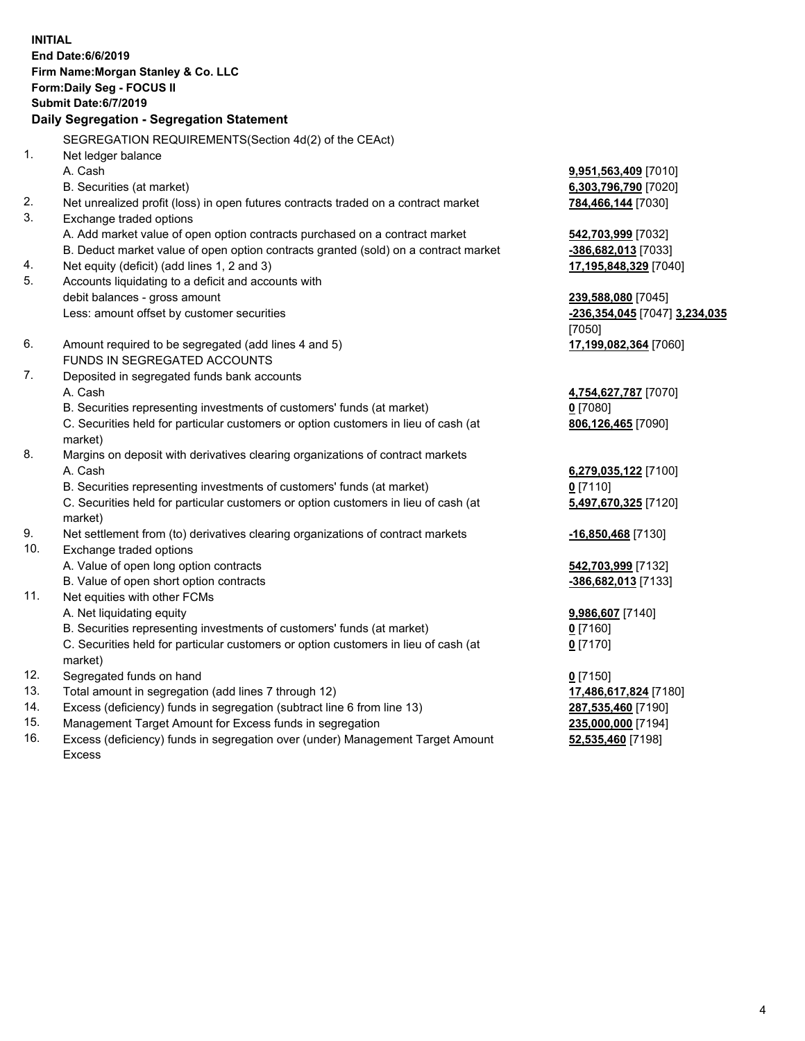**INITIAL End Date:6/6/2019 Firm Name:Morgan Stanley & Co. LLC Form:Daily Seg - FOCUS II Submit Date:6/7/2019 Daily Segregation - Segregation Statement** SEGREGATION REQUIREMENTS(Section 4d(2) of the CEAct) 1. Net ledger balance A. Cash **9,951,563,409** [7010] B. Securities (at market) **6,303,796,790** [7020] 2. Net unrealized profit (loss) in open futures contracts traded on a contract market **784,466,144** [7030] 3. Exchange traded options A. Add market value of open option contracts purchased on a contract market **542,703,999** [7032] B. Deduct market value of open option contracts granted (sold) on a contract market **-386,682,013** [7033] 4. Net equity (deficit) (add lines 1, 2 and 3) **17,195,848,329** [7040] 5. Accounts liquidating to a deficit and accounts with debit balances - gross amount **239,588,080** [7045] Less: amount offset by customer securities **-236,354,045** [7047] **3,234,035** [7050] 6. Amount required to be segregated (add lines 4 and 5) **17,199,082,364** [7060] FUNDS IN SEGREGATED ACCOUNTS 7. Deposited in segregated funds bank accounts A. Cash **4,754,627,787** [7070] B. Securities representing investments of customers' funds (at market) **0** [7080] C. Securities held for particular customers or option customers in lieu of cash (at market) **806,126,465** [7090] 8. Margins on deposit with derivatives clearing organizations of contract markets A. Cash **6,279,035,122** [7100] B. Securities representing investments of customers' funds (at market) **0** [7110] C. Securities held for particular customers or option customers in lieu of cash (at market) **5,497,670,325** [7120] 9. Net settlement from (to) derivatives clearing organizations of contract markets **-16,850,468** [7130] 10. Exchange traded options A. Value of open long option contracts **542,703,999** [7132] B. Value of open short option contracts **-386,682,013** [7133] 11. Net equities with other FCMs A. Net liquidating equity **9,986,607** [7140] B. Securities representing investments of customers' funds (at market) **0** [7160] C. Securities held for particular customers or option customers in lieu of cash (at market) **0** [7170] 12. Segregated funds on hand **0** [7150] 13. Total amount in segregation (add lines 7 through 12) **17,486,617,824** [7180] 14. Excess (deficiency) funds in segregation (subtract line 6 from line 13) **287,535,460** [7190]

- 15. Management Target Amount for Excess funds in segregation **235,000,000** [7194]
- 16. Excess (deficiency) funds in segregation over (under) Management Target Amount Excess

**52,535,460** [7198]